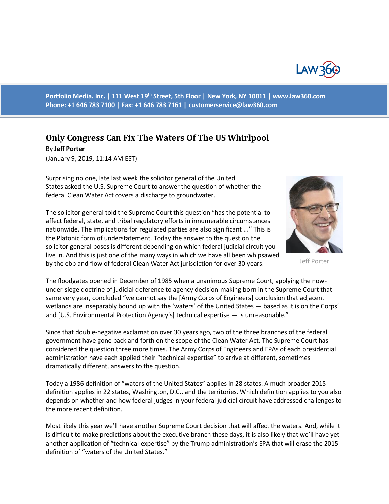

**Portfolio Media. Inc. | 111 West 19th Street, 5th Floor | New York, NY 10011 | www.law360.com Phone: +1 646 783 7100 | Fax: +1 646 783 7161 | [customerservice@law360.com](mailto:customerservice@law360.com)**

## **Only Congress Can Fix The Waters Of The US Whirlpool**

By **Jeff Porter**

(January 9, 2019, 11:14 AM EST)

Surprising no one, late last week the solicitor general of the United States asked the U.S. Supreme Court to answer the question of whether the federal Clean Water Act covers a discharge to groundwater.



Jeff Porter

The solicitor general told the Supreme Court this question "has the potential to affect federal, state, and tribal regulatory efforts in innumerable circumstances nationwide. The implications for regulated parties are also significant ..." This is the Platonic form of understatement. Today the answer to the question the solicitor general poses is different depending on which federal judicial circuit you live in. And this is just one of the many ways in which we have all been whipsawed by the ebb and flow of federal Clean Water Act jurisdiction for over 30 years.

The floodgates opened in December of 1985 when a unanimous Supreme Court, applying the nowunder-siege doctrine of judicial deference to agency decision-making born in the Supreme Court that same very year, concluded "we cannot say the [Army Corps of Engineers] conclusion that adjacent wetlands are inseparably bound up with the 'waters' of the United States — based as it is on the Corps' and [U.S. Environmental Protection Agency's] technical expertise — is unreasonable."

Since that double-negative exclamation over 30 years ago, two of the three branches of the federal government have gone back and forth on the scope of the Clean Water Act. The Supreme Court has considered the question three more times. The Army Corps of Engineers and EPAs of each presidential administration have each applied their "technical expertise" to arrive at different, sometimes dramatically different, answers to the question.

Today a 1986 definition of "waters of the United States" applies in 28 states. A much broader 2015 definition applies in 22 states, Washington, D.C., and the territories. Which definition applies to you also depends on whether and how federal judges in your federal judicial circuit have addressed challenges to the more recent definition.

Most likely this year we'll have another Supreme Court decision that will affect the waters. And, while it is difficult to make predictions about the executive branch these days, it is also likely that we'll have yet another application of "technical expertise" by the Trump administration's EPA that will erase the 2015 definition of "waters of the United States."